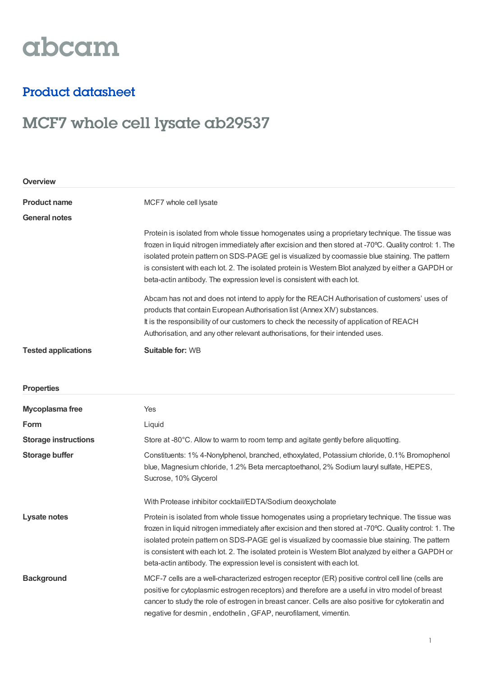# abcam

### Product datasheet

## MCF7 whole cell lysate ab29537

| Overview                    |                                                                                                                                                                                                                                                                                                                                                                                                                                                                                             |  |
|-----------------------------|---------------------------------------------------------------------------------------------------------------------------------------------------------------------------------------------------------------------------------------------------------------------------------------------------------------------------------------------------------------------------------------------------------------------------------------------------------------------------------------------|--|
| <b>Product name</b>         | MCF7 whole cell lysate                                                                                                                                                                                                                                                                                                                                                                                                                                                                      |  |
| <b>General notes</b>        |                                                                                                                                                                                                                                                                                                                                                                                                                                                                                             |  |
|                             | Protein is isolated from whole tissue homogenates using a proprietary technique. The tissue was<br>frozen in liquid nitrogen immediately after excision and then stored at -70°C. Quality control: 1. The<br>isolated protein pattern on SDS-PAGE gel is visualized by coomassie blue staining. The pattern<br>is consistent with each lot. 2. The isolated protein is Western Blot analyzed by either a GAPDH or<br>beta-actin antibody. The expression level is consistent with each lot. |  |
|                             | Abcam has not and does not intend to apply for the REACH Authorisation of customers' uses of<br>products that contain European Authorisation list (Annex XIV) substances.<br>It is the responsibility of our customers to check the necessity of application of REACH<br>Authorisation, and any other relevant authorisations, for their intended uses.                                                                                                                                     |  |
| <b>Tested applications</b>  | <b>Suitable for: WB</b>                                                                                                                                                                                                                                                                                                                                                                                                                                                                     |  |
| <b>Properties</b>           |                                                                                                                                                                                                                                                                                                                                                                                                                                                                                             |  |
| Mycoplasma free             | Yes                                                                                                                                                                                                                                                                                                                                                                                                                                                                                         |  |
| Form                        | Liquid                                                                                                                                                                                                                                                                                                                                                                                                                                                                                      |  |
| <b>Storage instructions</b> | Store at -80°C. Allow to warm to room temp and agitate gently before aliquotting.                                                                                                                                                                                                                                                                                                                                                                                                           |  |
| <b>Storage buffer</b>       | Constituents: 1% 4-Nonylphenol, branched, ethoxylated, Potassium chloride, 0.1% Bromophenol<br>blue, Magnesium chloride, 1.2% Beta mercaptoethanol, 2% Sodium lauryl sulfate, HEPES,<br>Sucrose, 10% Glycerol                                                                                                                                                                                                                                                                               |  |
|                             | With Protease inhibitor cocktail/EDTA/Sodium deoxycholate                                                                                                                                                                                                                                                                                                                                                                                                                                   |  |
| <b>Lysate notes</b>         | Protein is isolated from whole tissue homogenates using a proprietary technique. The tissue was<br>frozen in liquid nitrogen immediately after excision and then stored at -70°C. Quality control: 1. The<br>isolated protein pattern on SDS-PAGE gel is visualized by coomassie blue staining. The pattern<br>is consistent with each lot. 2. The isolated protein is Western Blot analyzed by either a GAPDH or<br>beta-actin antibody. The expression level is consistent with each lot. |  |
| <b>Background</b>           | MCF-7 cells are a well-characterized estrogen receptor (ER) positive control cell line (cells are<br>positive for cytoplasmic estrogen receptors) and therefore are a useful in vitro model of breast<br>cancer to study the role of estrogen in breast cancer. Cells are also positive for cytokeratin and<br>negative for desmin, endothelin, GFAP, neurofilament, vimentin.                                                                                                              |  |